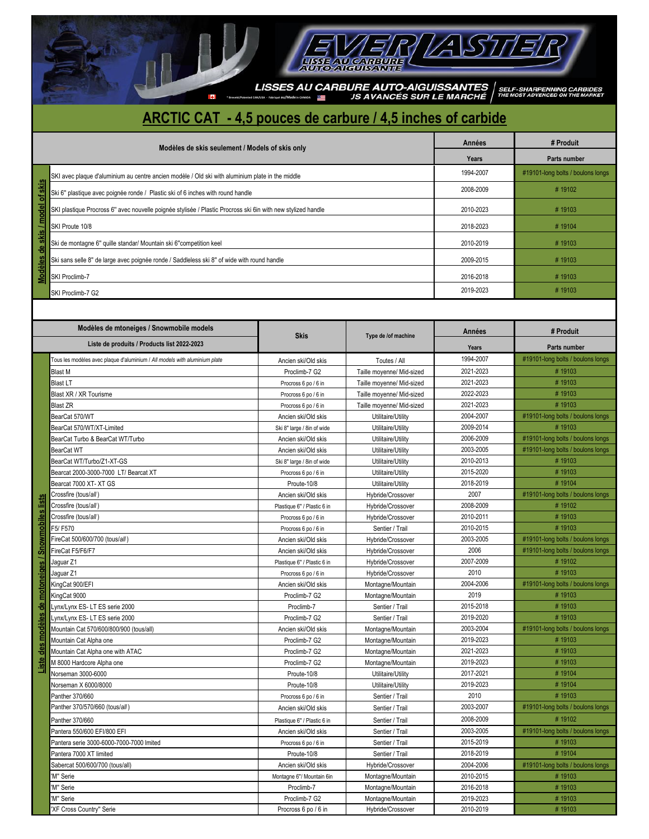$\begin{array}{l|l} \textbf{LISSES AU CARBURE AUTO-AIGUISSANTES} & \textbf{SELF-SHARPENNING CARBIDES} \\\textbf{SINMSE-EMASICSE} & \textbf{S IN R} \textbf{A} \textbf{V} \textbf{A} \textbf{N} \textbf{CES} \textbf{S} \textbf{U} \textbf{H} \textbf{L} \textbf{E} \textbf{M} \textbf{A} \textbf{R} \textbf{C} \textbf{H} \textbf{E} & \textbf{M} \textbf{S} \textbf{F} \textbf{A} \textbf{D} \textbf{V} \textbf{E} \textbf{M} \textbf{A$ 

 $\Xi$ 

EVER LAST

## **ARCTIC CAT - 4,5 pouces de carbure / 4,5 inches of carbide**

И

1

|                      | Modèles de skis seulement / Models of skis only                                                              | <b>Années</b> | # Produit                         |
|----------------------|--------------------------------------------------------------------------------------------------------------|---------------|-----------------------------------|
|                      |                                                                                                              | Years         | Parts number                      |
|                      | SKI avec plaque d'aluminium au centre ancien modèle / Old ski with aluminium plate in the middle             | 1994-2007     | #19101-long bolts / boulons longs |
|                      | Ski 6" plastique avec poignée ronde / Plastic ski of 6 inches with round handle                              | 2008-2009     | #19102                            |
| skis / model of skis | SKI plastique Procross 6" avec nouvelle poignée stylisée / Plastic Procross ski 6in with new stylized handle | 2010-2023     | #19103                            |
|                      | SKI Proute 10/8                                                                                              | 2018-2023     | #19104                            |
| ٩ë                   | Ski de montagne 6" quille standar/ Mountain ski 6"competition keel                                           | 2010-2019     | #19103                            |
|                      | Ski sans selle 8" de large avec poignée ronde / Saddleless ski 8" of wide with round handle                  | 2009-2015     | #19103                            |
| Modèles              | SKI Proclimb-7                                                                                               | 2016-2018     | #19103                            |
|                      | SKI Proclimb-7 G2                                                                                            | 2019-2023     | #19103                            |

|                                               | Ski 6" plastique avec poignée ronde / Plastic ski of 6 inches with round handle                              |                                                    |                                        | 2008-2009 | #19102                                      |
|-----------------------------------------------|--------------------------------------------------------------------------------------------------------------|----------------------------------------------------|----------------------------------------|-----------|---------------------------------------------|
|                                               | SKI plastique Procross 6" avec nouvelle poignée stylisée / Plastic Procross ski 6in with new stylized handle |                                                    |                                        | 2010-2023 | #19103                                      |
|                                               | SKI Proute 10/8                                                                                              | 2018-2023                                          | #19104                                 |           |                                             |
|                                               | Ski de montagne 6" quille standar/ Mountain ski 6"competition keel                                           | 2010-2019                                          | #19103                                 |           |                                             |
| Modèles de skis / model of skis               | Ski sans selle 8" de large avec poignée ronde / Saddleless ski 8" of wide with round handle                  | 2009-2015                                          | #19103                                 |           |                                             |
|                                               | SKI Proclimb-7                                                                                               |                                                    |                                        | 2016-2018 | #19103                                      |
|                                               |                                                                                                              | 2019-2023                                          | #19103                                 |           |                                             |
|                                               | SKI Proclimb-7 G2                                                                                            |                                                    |                                        |           |                                             |
|                                               |                                                                                                              |                                                    |                                        |           |                                             |
|                                               | Modèles de mtoneiges / Snowmobile models                                                                     |                                                    | Années                                 | # Produit |                                             |
|                                               | Liste de produits / Products list 2022-2023                                                                  | <b>Skis</b>                                        | Type de /of machine                    | Years     | Parts number                                |
|                                               |                                                                                                              |                                                    |                                        | 1994-2007 | #19101-long bolts / boulons longs           |
|                                               | Tous les modèles avec plaque d'aluminium / All models with aluminium plate                                   | Ancien ski/Old skis                                | Toutes / All                           | 2021-2023 | #19103                                      |
|                                               | Blast M<br>Blast LT                                                                                          | Proclimb-7 G2                                      | Taille moyenne/ Mid-sized              | 2021-2023 | #19103                                      |
|                                               |                                                                                                              | Procross 6 po / 6 in                               | Taille moyenne/ Mid-sized              | 2022-2023 | #19103                                      |
|                                               | Blast XR / XR Tourisme                                                                                       | Procross 6 po / 6 in                               | Taille moyenne/ Mid-sized              | 2021-2023 | #19103                                      |
|                                               | <b>Blast ZR</b>                                                                                              | Procross 6 po / 6 in                               | Taille moyenne/ Mid-sized              | 2004-2007 |                                             |
|                                               | BearCat 570/WT                                                                                               | Ancien ski/Old skis                                | Utilitaire/Utility                     | 2009-2014 | #19101-long bolts / boulons longs<br>#19103 |
|                                               | BearCat 570/WT/XT-Limited                                                                                    | Ski 8" large / 8in of wide                         | Utilitaire/Utility                     | 2006-2009 | #19101-long bolts / boulons longs           |
|                                               | BearCat Turbo & BearCat WT/Turbo                                                                             | Ancien ski/Old skis                                | Utilitaire/Utility                     | 2003-2005 |                                             |
|                                               | BearCat WT                                                                                                   | Ancien ski/Old skis                                | Utilitaire/Utility                     | 2010-2013 | #19101-long bolts / boulons longs           |
|                                               | BearCat WT/Turbo/Z1-XT-GS                                                                                    | Ski 8" large / 8in of wide                         | Utilitaire/Utility                     | 2015-2020 | #19103<br>#19103                            |
|                                               | Bearcat 2000-3000-7000 LT/ Bearcat XT                                                                        | Procross 6 po / 6 in                               | Utilitaire/Utility                     | 2018-2019 | #19104                                      |
|                                               | Bearcat 7000 XT- XT GS<br>Crossfire (tous/all)                                                               | Proute-10/8                                        | Utilitaire/Utility                     | 2007      | #19101-long bolts / boulons longs           |
|                                               |                                                                                                              | Ancien ski/Old skis                                | Hybride/Crossover                      | 2008-2009 |                                             |
|                                               | Crossfire (tous/all)<br>Crossfire (tous/all)                                                                 | Plastique 6" / Plastic 6 in                        | Hybride/Crossover                      | 2010-2011 | #19102<br>#19103                            |
|                                               | F5/F570                                                                                                      | Procross 6 po / 6 in                               | Hybride/Crossover                      | 2010-2015 | #19103                                      |
|                                               | FireCat 500/600/700 (tous/all)                                                                               | Procross 6 po / 6 in                               | Sentier / Trail                        | 2003-2005 | #19101-long bolts / boulons longs           |
|                                               |                                                                                                              | Ancien ski/Old skis                                | Hybride/Crossover                      | 2006      | #19101-long bolts / boulons longs           |
|                                               | FireCat F5/F6/F7<br>Jaguar Z1                                                                                | Ancien ski/Old skis                                | Hybride/Crossover                      | 2007-2009 | #19102                                      |
|                                               | Jaguar Z1                                                                                                    | Plastique 6" / Plastic 6 in                        | Hybride/Crossover<br>Hybride/Crossover | 2010      | #19103                                      |
|                                               | KingCat 900/EFI                                                                                              | Procross 6 po / 6 in<br>Ancien ski/Old skis        | Montagne/Mountain                      | 2004-2006 | #19101-long bolts / boulons longs           |
|                                               | KingCat 9000                                                                                                 | Proclimb-7 G2                                      | Montagne/Mountain                      | 2019      | #19103                                      |
|                                               | Lynx/Lynx ES-LT ES serie 2000                                                                                | Proclimb-7                                         | Sentier / Trail                        | 2015-2018 | #19103                                      |
|                                               | Lynx/Lynx ES-LT ES serie 2000                                                                                | Proclimb-7 G2                                      | Sentier / Trail                        | 2019-2020 | #19103                                      |
|                                               | Mountain Cat 570/600/800/900 (tous/all)                                                                      | Ancien ski/Old skis                                | Montagne/Mountain                      | 2003-2004 | #19101-long bolts / boulons longs           |
|                                               | Mountain Cat Alpha one                                                                                       | Proclimb-7 G2                                      | Montagne/Mountain                      | 2019-2023 | #19103                                      |
| des modèles de motoneiges / Snowmobiles lists | Mountain Cat Alpha one with ATAC                                                                             | Proclimb-7 G2                                      | Montagne/Mountain                      | 2021-2023 | #19103                                      |
|                                               | M 8000 Hardcore Alpha one                                                                                    | Proclimb-7 G2                                      | Montagne/Mountain                      | 2019-2023 | #19103                                      |
| Liste                                         | Norseman 3000-6000                                                                                           | Proute-10/8                                        | Utilitaire/Utility                     | 2017-2021 | #19104                                      |
|                                               | Norseman X 6000/8000                                                                                         | Proute-10/8                                        | Utilitaire/Utility                     | 2019-2023 | #19104                                      |
|                                               | Panther 370/660                                                                                              | Procross 6 po / 6 in                               | Sentier / Trail                        | 2010      | #19103                                      |
|                                               | Panther 370/570/660 (tous/all)                                                                               | Ancien ski/Old skis                                | Sentier / Trail                        | 2003-2007 | #19101-long bolts / boulons longs           |
|                                               | Panther 370/660                                                                                              |                                                    |                                        | 2008-2009 | #19102                                      |
|                                               | Pantera 550/600 EFI/800 EFI                                                                                  | Plastique 6" / Plastic 6 in<br>Ancien ski/Old skis | Sentier / Trail<br>Sentier / Trail     | 2003-2005 | #19101-long bolts / boulons longs           |
|                                               | Pantera serie 3000-6000-7000-7000 Imited                                                                     |                                                    |                                        | 2015-2019 | #19103                                      |
|                                               |                                                                                                              | Procross 6 po / 6 in                               | Sentier / Trail                        | 2018-2019 | #19104                                      |
|                                               | Pantera 7000 XT limited<br>Sabercat 500/600/700 (tous/all)                                                   | Proute-10/8<br>Ancien ski/Old skis                 | Sentier / Trail                        | 2004-2006 |                                             |
|                                               | 'M" Serie                                                                                                    | Montagne 6"/ Mountain 6in                          | Hybride/Crossover<br>Montagne/Mountain | 2010-2015 | #19101-long bolts / boulons longs<br>#19103 |
|                                               | 'M" Serie                                                                                                    | Proclimb-7                                         | Montagne/Mountain                      | 2016-2018 | #19103                                      |
|                                               | 'M" Serie                                                                                                    | Proclimb-7 G2                                      | Montagne/Mountain                      | 2019-2023 | #19103                                      |
|                                               | 'XF Cross Country" Serie                                                                                     | Procross 6 po / 6 in                               | Hybride/Crossover                      | 2010-2019 | #19103                                      |
|                                               |                                                                                                              |                                                    |                                        |           |                                             |